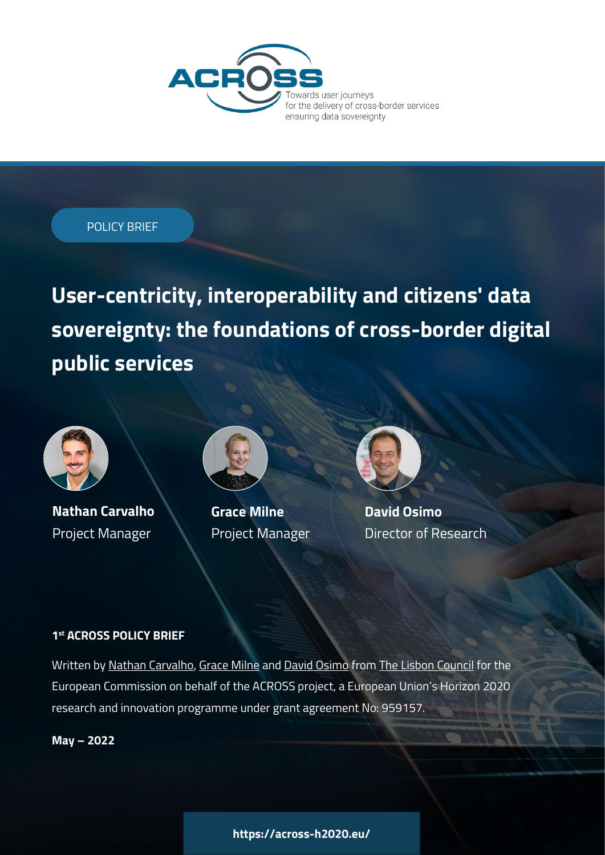

POLICY BRIEF

**User-centricity, interoperability and citizens' data sovereignty: the foundations of cross-border digital public services**



**Nathan Carvalho** Project Manager



**Grace Milne** Project Manager

**David Osimo** Director of Research

# **1 st ACROSS POLICY BRIEF**

Written b[y Nathan Carvalho,](https://www.linkedin.com/in/nathansilvc/) [Grace Milne](https://www.linkedin.com/in/grace-milne/) and [David Osimo](https://www.linkedin.com/in/osimod/) from [The Lisbon Council](https://lisboncouncil.net/) for the European Commission on behalf of the ACROSS project, a European Union's Horizon 2020 research and innovation programme under grant agreement No: 959157.

**May – 2022**

**https://across-h2020.eu/**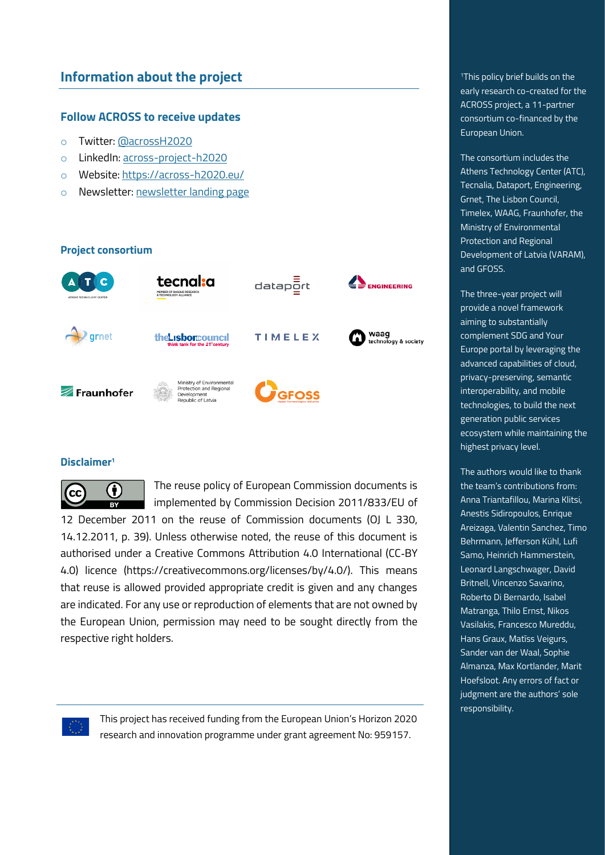# **Information about the project**

## **Follow ACROSS to receive updates**

- o Twitter: [@acrossH2020](https://twitter.com/AcrossH2020)
- o LinkedIn: [across-project-h2020](https://www.linkedin.com/company/across-project-h2020/)
- o Website:<https://across-h2020.eu/>
- o Newsletter: [newsletter](https://mailchi.mp/246c2ad812e9/across-newsletter) landing page

**Project consortium**



## **Disclaimer<sup>1</sup>**



The reuse policy of European Commission documents is implemented by Commission Decision 2011/833/EU of

12 December 2011 on the reuse of Commission documents (OJ L 330, 14.12.2011, p. 39). Unless otherwise noted, the reuse of this document is authorised under a Creative Commons Attribution 4.0 International (CC‐BY 4.0) licence (https://creativecommons.org/licenses/by/4.0/). This means that reuse is allowed provided appropriate credit is given and any changes are indicated. For any use or reproduction of elements that are not owned by the European Union, permission may need to be sought directly from the respective right holders.



This project has received funding from the European Union's Horizon 2020 research and innovation programme under grant agreement No: 959157.

<sup>1</sup>This policy brief builds on the early research co-created for the ACROSS project, a 11-partner consortium co-financed by the European Union.

The consortium includes the Athens Technology Center (ATC), Tecnalia, Dataport, Engineering, Grnet, The Lisbon Council, Timelex, WAAG, Fraunhofer, the Ministry of Environmental Protection and Regional Development of Latvia (VARAM), and GFOSS.

The three-year project will provide a novel framework aiming to substantially complement SDG and Your Europe portal by leveraging the advanced capabilities of cloud, privacy-preserving, semantic interoperability, and mobile technologies, to build the next generation public services ecosystem while maintaining the highest privacy level.

The authors would like to thank the team's contributions from: Anna Triantafillou, Marina Klitsi, Anestis Sidiropoulos, Enrique Areizaga, Valentin Sanchez, Timo Behrmann, Jefferson Kühl, Lufi Samo, Heinrich Hammerstein, Leonard Langschwager, David Britnell, Vincenzo Savarino, Roberto Di Bernardo, Isabel Matranga, Thilo Ernst, Nikos Vasilakis, Francesco Mureddu, Hans Graux, Matīss Veigurs, Sander van der Waal, Sophie Almanza, Max Kortlander, Marit Hoefsloot. Any errors of fact or judgment are the authors' sole responsibility.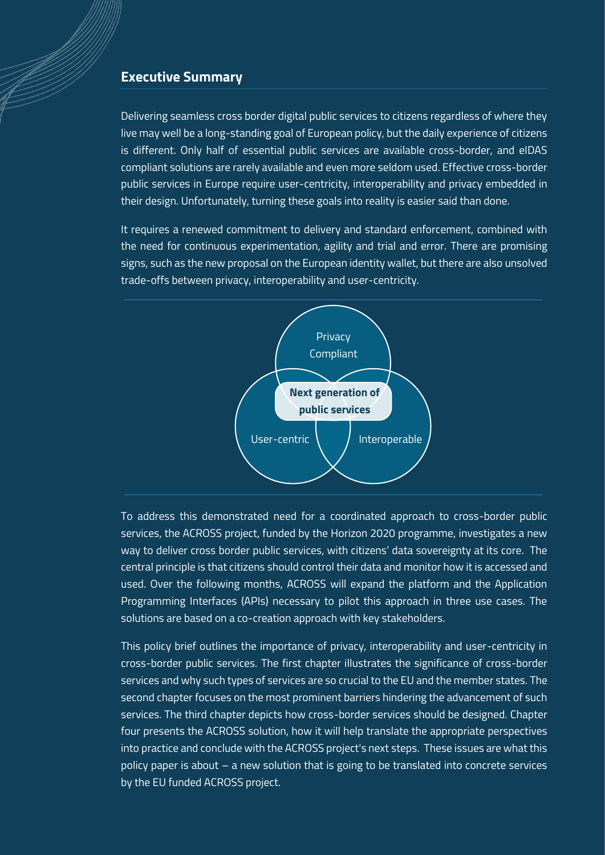# **Executive Summary**

Delivering seamless cross border digital public services to citizens regardless of where they live may well be a long-standing goal of European policy, but the daily experience of citizens is different. Only half of essential public services are available cross-border, and eIDAS compliant solutions are rarely available and even more seldom used. Effective cross-border public services in Europe require user-centricity, interoperability and privacy embedded in their design. Unfortunately, turning these goals into reality is easier said than done.

It requires a renewed commitment to delivery and standard enforcement, combined with the need for continuous experimentation, agility and trial and error. There are promising signs, such as the new proposal on the European identity wallet, but there are also unsolved trade-offs between privacy, interoperability and user-centricity.



To address this demonstrated need for a coordinated approach to cross-border public services, the ACROSS project, funded by the Horizon 2020 programme, investigates a new way to deliver cross border public services, with citizens' data sovereignty at its core. The central principle is that citizens should control their data and monitor how it is accessed and used. Over the following months, ACROSS will expand the platform and the Application Programming Interfaces (APIs) necessary to pilot this approach in three use cases. The solutions are based on a co-creation approach with key stakeholders.

This policy brief outlines the importance of privacy, interoperability and user-centricity in cross-border public services. The first chapter illustrates the significance of cross-border services and why such types of services are so crucial to the EU and the member states. The second chapter focuses on the most prominent barriers hindering the advancement of such services. The third chapter depicts how cross-border services should be designed. Chapter four presents the ACROSS solution, how it will help translate the appropriate perspectives into practice and conclude with the ACROSS project's next steps. These issues are what this policy paper is about – a new solution that is going to be translated into concrete services by the EU funded ACROSS project.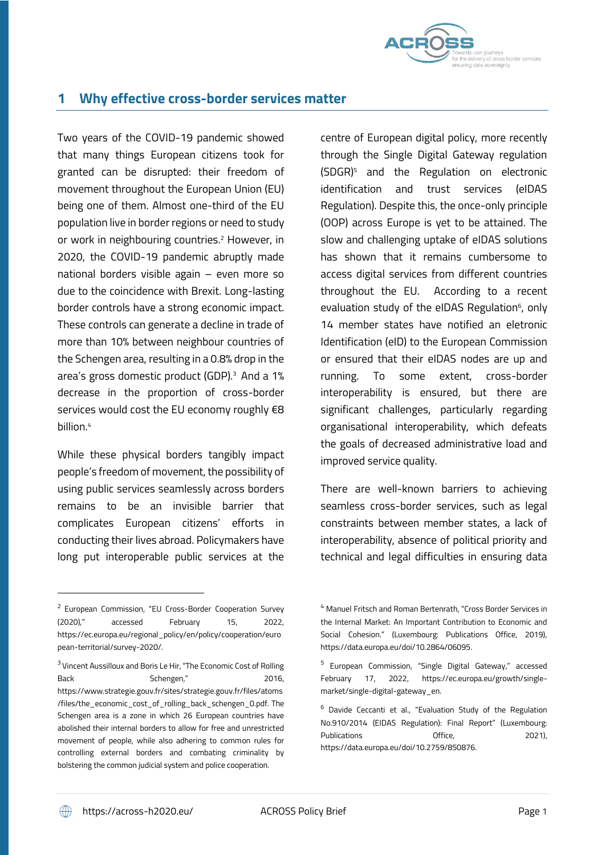

# **1 Why effective cross-border services matter**

Two years of the COVID-19 pandemic showed that many things European citizens took for granted can be disrupted: their freedom of movement throughout the European Union (EU) being one of them. Almost one-third of the EU population live in border regions or need to study or work in neighbouring countries.<sup>2</sup> However, in 2020, the COVID-19 pandemic abruptly made national borders visible again – even more so due to the coincidence with Brexit. Long-lasting border controls have a strong economic impact. These controls can generate a decline in trade of more than 10% between neighbour countries of the Schengen area, resulting in a 0.8% drop in the area's gross domestic product (GDP).<sup>3</sup> And a 1% decrease in the proportion of cross-border services would cost the EU economy roughly €8 billion.<sup>4</sup>

While these physical borders tangibly impact people's freedom of movement, the possibility of using public services seamlessly across borders remains to be an invisible barrier that complicates European citizens' efforts in conducting their lives abroad. Policymakers have long put interoperable public services at the

centre of European digital policy, more recently through the Single Digital Gateway regulation (SDGR)<sup>5</sup> and the Regulation on electronic identification and trust services (eIDAS Regulation). Despite this, the once-only principle (OOP) across Europe is yet to be attained. The slow and challenging uptake of eIDAS solutions has shown that it remains cumbersome to access digital services from different countries throughout the EU. According to a recent evaluation study of the eIDAS Regulation<sup>6</sup>, only 14 member states have notified an eletronic Identification (eID) to the European Commission or ensured that their eIDAS nodes are up and running. To some extent, cross-border interoperability is ensured, but there are significant challenges, particularly regarding organisational interoperability, which defeats the goals of decreased administrative load and improved service quality.

There are well-known barriers to achieving seamless cross-border services, such as legal constraints between member states, a lack of interoperability, absence of political priority and technical and legal difficulties in ensuring data

<sup>&</sup>lt;sup>2</sup> European Commission, "EU Cross-Border Cooperation Survey (2020)," accessed February 15, 2022, https://ec.europa.eu/regional\_policy/en/policy/cooperation/euro pean-territorial/survey-2020/.

<sup>&</sup>lt;sup>3</sup> Vincent Aussilloux and Boris Le Hir, "The Economic Cost of Rolling Back Schengen." 2016, https://www.strategie.gouv.fr/sites/strategie.gouv.fr/files/atoms /files/the\_economic\_cost\_of\_rolling\_back\_schengen\_0.pdf. The Schengen area is a zone in which 26 European countries have abolished their internal borders to allow for free and unrestricted movement of people, while also adhering to common rules for controlling external borders and combating criminality by bolstering the common judicial system and police cooperation.

<sup>4</sup> Manuel Fritsch and Roman Bertenrath, "Cross Border Services in the Internal Market: An Important Contribution to Economic and Social Cohesion." (Luxembourg: Publications Office, 2019), https://data.europa.eu/doi/10.2864/06095.

<sup>&</sup>lt;sup>5</sup> European Commission, "Single Digital Gateway," accessed February 17, 2022, https://ec.europa.eu/growth/singlemarket/single-digital-gateway\_en.

<sup>6</sup> Davide Ceccanti et al., "Evaluation Study of the Regulation No.910/2014 (EIDAS Regulation): Final Report" (Luxembourg: Publications **Office**, 2021), https://data.europa.eu/doi/10.2759/850876.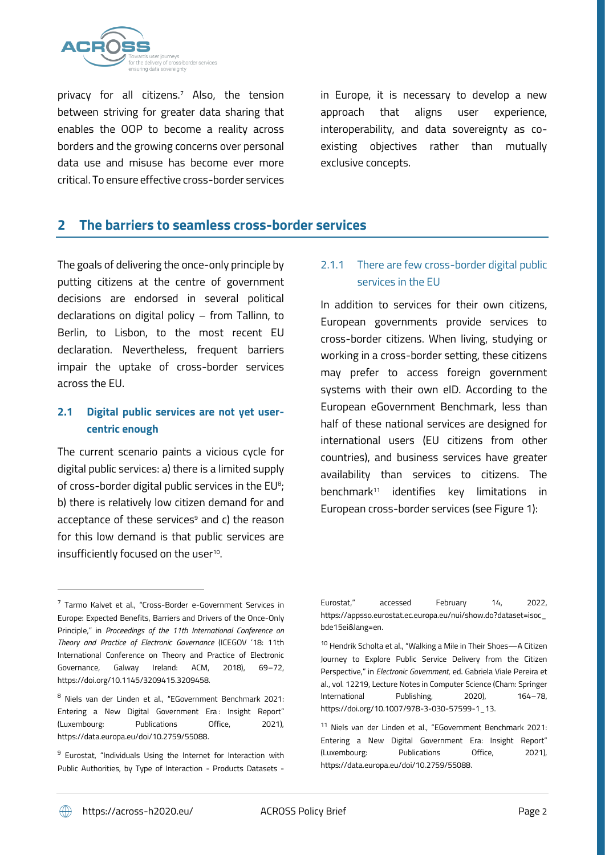

privacy for all citizens.<sup>7</sup> Also, the tension between striving for greater data sharing that enables the OOP to become a reality across borders and the growing concerns over personal data use and misuse has become ever more critical. To ensure effective cross-border services in Europe, it is necessary to develop a new approach that aligns user experience, interoperability, and data sovereignty as coexisting objectives rather than mutually exclusive concepts.

## **2 The barriers to seamless cross-border services**

The goals of delivering the once-only principle by putting citizens at the centre of government decisions are endorsed in several political declarations on digital policy – from Tallinn, to Berlin, to Lisbon, to the most recent EU declaration. Nevertheless, frequent barriers impair the uptake of cross-border services across the EU.

# **2.1 Digital public services are not yet usercentric enough**

The current scenario paints a vicious cycle for digital public services: a) there is a limited supply of cross-border digital public services in the  $EU^s$ ; b) there is relatively low citizen demand for and acceptance of these services<sup>9</sup> and c) the reason for this low demand is that public services are insufficiently focused on the user $^{10}$ .

# 2.1.1 There are few cross-border digital public services in the EU

In addition to services for their own citizens, European governments provide services to cross-border citizens. When living, studying or working in a cross-border setting, these citizens may prefer to access foreign government systems with their own eID. According to the European eGovernment Benchmark, less than half of these national services are designed for international users (EU citizens from other countries), and business services have greater availability than services to citizens. The benchmark<sup>11</sup> identifies key limitations in European cross-border services (see Figure 1):

<sup>&</sup>lt;sup>7</sup> Tarmo Kalvet et al., "Cross-Border e-Government Services in Europe: Expected Benefits, Barriers and Drivers of the Once-Only Principle," in *Proceedings of the 11th International Conference on Theory and Practice of Electronic Governance* (ICEGOV '18: 11th International Conference on Theory and Practice of Electronic Governance, Galway Ireland: ACM, 2018), 69–72, https://doi.org/10.1145/3209415.3209458.

<sup>8</sup> Niels van der Linden et al., "EGovernment Benchmark 2021: Entering a New Digital Government Era: Insight Report" (Luxembourg: Publications Office, 2021), https://data.europa.eu/doi/10.2759/55088.

<sup>&</sup>lt;sup>9</sup> Eurostat, "Individuals Using the Internet for Interaction with Public Authorities, by Type of Interaction - Products Datasets -

Eurostat," accessed February 14, 2022, https://appsso.eurostat.ec.europa.eu/nui/show.do?dataset=isoc\_ bde15ei&lang=en.

<sup>10</sup> Hendrik Scholta et al., "Walking a Mile in Their Shoes—A Citizen Journey to Explore Public Service Delivery from the Citizen Perspective," in *Electronic Government*, ed. Gabriela Viale Pereira et al., vol. 12219, Lecture Notes in Computer Science (Cham: Springer International Publishing, 2020), 164–78, https://doi.org/10.1007/978-3-030-57599-1\_13.

<sup>11</sup> Niels van der Linden et al., "EGovernment Benchmark 2021: Entering a New Digital Government Era: Insight Report" (Luxembourg: Publications Office, 2021), https://data.europa.eu/doi/10.2759/55088.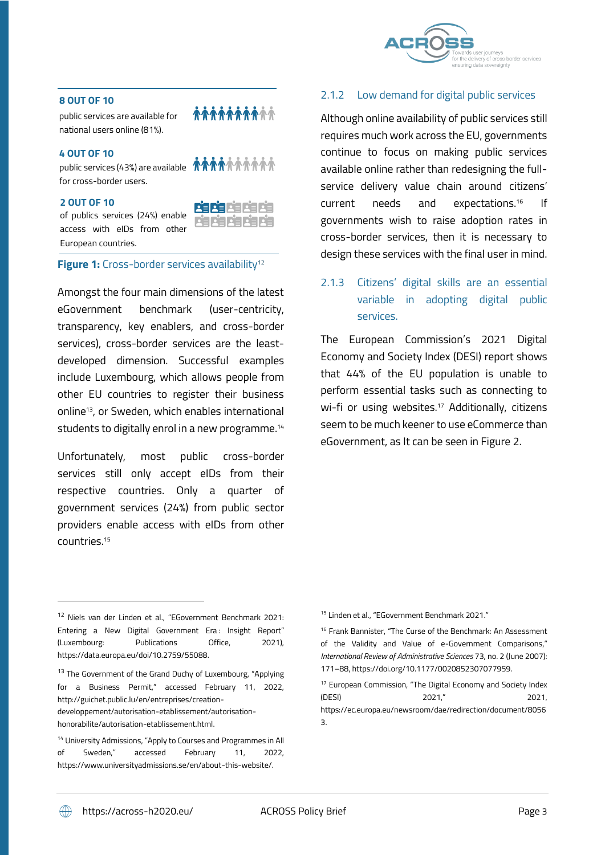

## **8 OUT OF 10**

public services are available for national users online (81%).

#### **4 OUT OF 10**

public services (43%) are available **thugh in the service of the set of the set of the set of the set of the set of the set of the set of the set of the set of the set of the set of the set of the set of the set of the set** for cross-border users.

#### **2 OUT OF 10**

of publics services (24%) enable access with eIDs from other European countries.



*MAAAAAAAA* 

## **Figure 1:** Cross-border services availability<sup>12</sup>

Amongst the four main dimensions of the latest eGovernment benchmark (user-centricity, transparency, key enablers, and cross-border services), cross-border services are the leastdeveloped dimension. Successful examples include Luxembourg, which allows people from other EU countries to register their business online13, or Sweden, which enables international students to digitally enrol in a new programme. 14

Unfortunately, most public cross-border services still only accept eIDs from their respective countries. Only a quarter of government services (24%) from public sector providers enable access with eIDs from other countries. 15

## 2.1.2 Low demand for digital public services

Although online availability of public services still requires much work across the EU, governments continue to focus on making public services available online rather than redesigning the fullservice delivery value chain around citizens' current needs and expectations.<sup>16</sup> If governments wish to raise adoption rates in cross-border services, then it is necessary to design these services with the final user in mind.

# 2.1.3 Citizens' digital skills are an essential variable in adopting digital public services.

The European Commission's 2021 Digital Economy and Society Index (DESI) report shows that 44% of the EU population is unable to perform essential tasks such as connecting to wi-fi or using websites.<sup>17</sup> Additionally, citizens seem to be much keener to use eCommerce than eGovernment, as It can be seen i[n Figure](#page-6-0) 2.

<sup>15</sup> Linden et al., "EGovernment Benchmark 2021."

<sup>&</sup>lt;sup>16</sup> Frank Bannister, "The Curse of the Benchmark: An Assessment of the Validity and Value of e-Government Comparisons," *International Review of Administrative Sciences* 73, no. 2 (June 2007): 171–88, https://doi.org/10.1177/0020852307077959.

<sup>&</sup>lt;sup>17</sup> European Commission, "The Digital Economy and Society Index (DESI) 2021," 2021, https://ec.europa.eu/newsroom/dae/redirection/document/8056 3.

<sup>12</sup> Niels van der Linden et al., "EGovernment Benchmark 2021: Entering a New Digital Government Era: Insight Report" (Luxembourg: Publications Office, 2021), https://data.europa.eu/doi/10.2759/55088.

<sup>&</sup>lt;sup>13</sup> The Government of the Grand Duchy of Luxembourg, "Applying for a Business Permit," accessed February 11, 2022, http://guichet.public.lu/en/entreprises/creation-

developpement/autorisation-etablissement/autorisationhonorabilite/autorisation-etablissement.html.

<sup>&</sup>lt;sup>14</sup> University Admissions, "Apply to Courses and Programmes in All of Sweden," accessed February 11, 2022, https://www.universityadmissions.se/en/about-this-website/.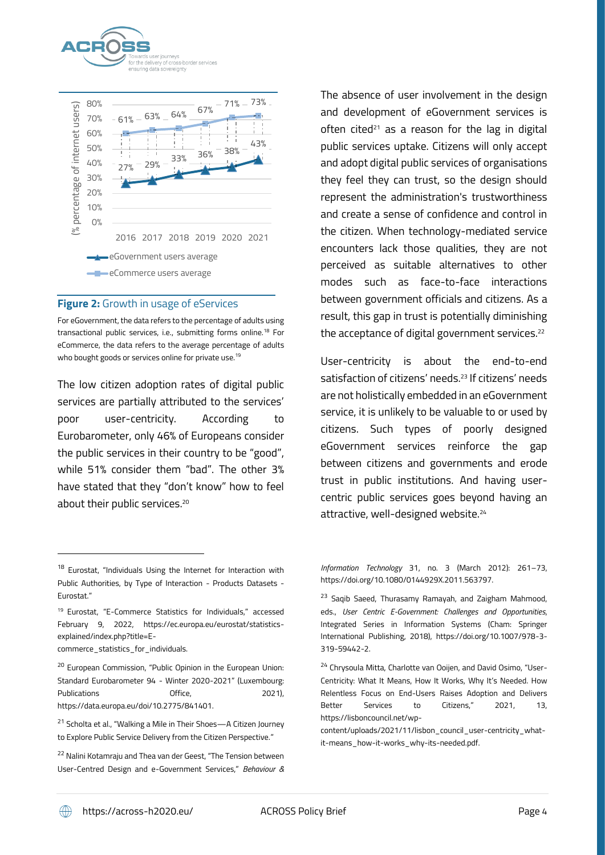



### <span id="page-6-0"></span>**Figure 2:** Growth in usage of eServices

For eGovernment, the data refers to the percentage of adults using transactional public services, i.e., submitting forms online.<sup>18</sup> For eCommerce, the data refers to the average percentage of adults who bought goods or services online for private use.<sup>19</sup>

The low citizen adoption rates of digital public services are partially attributed to the services' poor user-centricity. According to Eurobarometer, only 46% of Europeans consider the public services in their country to be "good", while 51% consider them "bad". The other 3% have stated that they "don't know" how to feel about their public services.<sup>20</sup>

The absence of user involvement in the design and development of eGovernment services is often cited<sup>21</sup> as a reason for the lag in digital public services uptake. Citizens will only accept and adopt digital public services of organisations they feel they can trust, so the design should represent the administration's trustworthiness and create a sense of confidence and control in the citizen. When technology-mediated service encounters lack those qualities, they are not perceived as suitable alternatives to other modes such as face-to-face interactions between government officials and citizens. As a result, this gap in trust is potentially diminishing the acceptance of digital government services. 22

User-centricity is about the end-to-end satisfaction of citizens' needs.<sup>23</sup> If citizens' needs are not holistically embedded in an eGovernment service, it is unlikely to be valuable to or used by citizens. Such types of poorly designed eGovernment services reinforce the gap between citizens and governments and erode trust in public institutions. And having usercentric public services goes beyond having an attractive, well-designed website. 24

<sup>&</sup>lt;sup>18</sup> Eurostat, "Individuals Using the Internet for Interaction with Public Authorities, by Type of Interaction - Products Datasets - Eurostat."

<sup>19</sup> Eurostat, "E-Commerce Statistics for Individuals," accessed February 9, 2022, https://ec.europa.eu/eurostat/statisticsexplained/index.php?title=E-

commerce\_statistics\_for\_individuals.

<sup>&</sup>lt;sup>20</sup> European Commission, "Public Opinion in the European Union: Standard Eurobarometer 94 - Winter 2020-2021" (Luxembourg: Publications **Contract Office,** 2021). https://data.europa.eu/doi/10.2775/841401.

<sup>21</sup> Scholta et al., "Walking a Mile in Their Shoes—A Citizen Journey to Explore Public Service Delivery from the Citizen Perspective."

<sup>22</sup> Nalini Kotamraju and Thea van der Geest, "The Tension between User-Centred Design and e-Government Services," *Behaviour &* 

*Information Technology* 31, no. 3 (March 2012): 261–73, https://doi.org/10.1080/0144929X.2011.563797.

<sup>&</sup>lt;sup>23</sup> Saqib Saeed, Thurasamy Ramayah, and Zaigham Mahmood, eds., *User Centric E-Government: Challenges and Opportunities*, Integrated Series in Information Systems (Cham: Springer International Publishing, 2018), https://doi.org/10.1007/978-3- 319-59442-2.

<sup>&</sup>lt;sup>24</sup> Chrysoula Mitta, Charlotte van Ooijen, and David Osimo, "User-Centricity: What It Means, How It Works, Why It's Needed. How Relentless Focus on End-Users Raises Adoption and Delivers Better Services to Citizens," 2021, 13, https://lisboncouncil.net/wp-

content/uploads/2021/11/lisbon\_council\_user-centricity\_whatit-means\_how-it-works\_why-its-needed.pdf.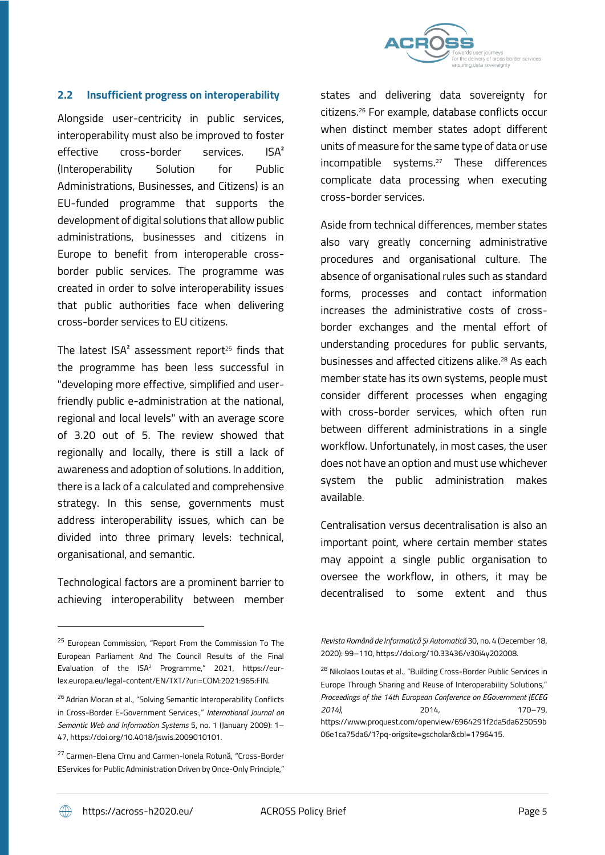

## **2.2 Insufficient progress on interoperability**

Alongside user-centricity in public services, interoperability must also be improved to foster effective cross-border services. ISA² (Interoperability Solution for Public Administrations, Businesses, and Citizens) is an EU-funded programme that supports the development of digital solutions that allow public administrations, businesses and citizens in Europe to benefit from interoperable crossborder public services. The programme was created in order to solve interoperability issues that public authorities face when delivering cross-border services to EU citizens.

The latest ISA² assessment report <sup>25</sup> finds that the programme has been less successful in "developing more effective, simplified and userfriendly public e-administration at the national, regional and local levels" with an average score of 3.20 out of 5. The review showed that regionally and locally, there is still a lack of awareness and adoption of solutions. In addition, there is a lack of a calculated and comprehensive strategy. In this sense, governments must address interoperability issues, which can be divided into three primary levels: technical, organisational, and semantic.

Technological factors are a prominent barrier to achieving interoperability between member states and delivering data sovereignty for citizens.<sup>26</sup> For example, database conflicts occur when distinct member states adopt different units of measure for the same type of data or use incompatible systems.<sup>27</sup> These differences complicate data processing when executing cross-border services.

Aside from technical differences, member states also vary greatly concerning administrative procedures and organisational culture. The absence of organisational rules such as standard forms, processes and contact information increases the administrative costs of crossborder exchanges and the mental effort of understanding procedures for public servants, businesses and affected citizens alike. <sup>28</sup> As each member state has its own systems, people must consider different processes when engaging with cross-border services, which often run between different administrations in a single workflow. Unfortunately, in most cases, the user does not have an option and must use whichever system the public administration makes available.

Centralisation versus decentralisation is also an important point, where certain member states may appoint a single public organisation to oversee the workflow, in others, it may be decentralised to some extent and thus

<sup>&</sup>lt;sup>25</sup> European Commission, "Report From the Commission To The European Parliament And The Council Results of the Final Evaluation of the ISA<sup>2</sup> Programme," 2021, https://eurlex.europa.eu/legal-content/EN/TXT/?uri=COM:2021:965:FIN.

<sup>&</sup>lt;sup>26</sup> Adrian Mocan et al., "Solving Semantic Interoperability Conflicts in Cross-Border E-Government Services:," *International Journal on Semantic Web and Information Systems* 5, no. 1 (January 2009): 1– 47, https://doi.org/10.4018/jswis.2009010101.

<sup>27</sup> Carmen-Elena Cîrnu and Carmen-Ionela Rotună, "Cross-Border EServices for Public Administration Driven by Once-Only Principle,"

*Revista Română de Informatică Și Automatică* 30, no. 4 (December 18, 2020): 99–110, https://doi.org/10.33436/v30i4y202008.

<sup>28</sup> Nikolaos Loutas et al., "Building Cross-Border Public Services in Europe Through Sharing and Reuse of Interoperability Solutions," *Proceedings of the 14th European Conference on EGovernment (ECEG 2014)*, 2014, 170–79, https://www.proquest.com/openview/6964291f2da5da625059b 06e1ca75da6/1?pq-origsite=gscholar&cbl=1796415.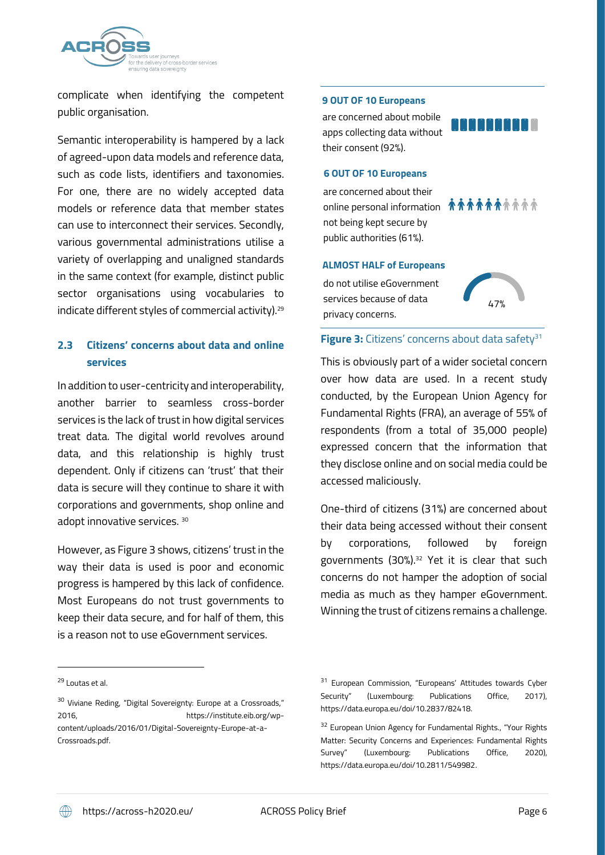

complicate when identifying the competent public organisation.

Semantic interoperability is hampered by a lack of agreed-upon data models and reference data, such as code lists, identifiers and taxonomies. For one, there are no widely accepted data models or reference data that member states can use to interconnect their services. Secondly, various governmental administrations utilise a variety of overlapping and unaligned standards in the same context (for example, distinct public sector organisations using vocabularies to indicate different styles of commercial activity). 29

# **2.3 Citizens' concerns about data and online services**

In addition to user-centricity and interoperability, another barrier to seamless cross-border services is the lack of trustin how digital services treat data. The digital world revolves around data, and this relationship is highly trust dependent. Only if citizens can 'trust' that their data is secure will they continue to share it with corporations and governments, shop online and adopt innovative services. <sup>30</sup>

However, as Figure 3 shows, citizens' trust in the way their data is used is poor and economic progress is hampered by this lack of confidence. Most Europeans do not trust governments to keep their data secure, and for half of them, this is a reason not to use eGovernment services.

#### **9 OUT OF 10 Europeans**

are concerned about mobile apps collecting data without their consent (92%).



#### **6 OUT OF 10 Europeans**

are concerned about their online personal information  $\hat{\pi} \hat{\pi} \hat{\pi} \hat{\pi} \hat{\pi} \hat{\pi} \hat{\pi} \hat{\pi}$ not being kept secure by public authorities (61%).

#### **ALMOST HALF of Europeans**

do not utilise eGovernment services because of data privacy concerns.



**Figure 3:** Citizens' concerns about data safety<sup>31</sup>

This is obviously part of a wider societal concern over how data are used. In a recent study conducted, by the European Union Agency for Fundamental Rights (FRA), an average of 55% of respondents (from a total of 35,000 people) expressed concern that the information that they disclose online and on social media could be accessed maliciously.

One-third of citizens (31%) are concerned about their data being accessed without their consent by corporations, followed by foreign governments (30%).<sup>32</sup> Yet it is clear that such concerns do not hamper the adoption of social media as much as they hamper eGovernment. Winning the trust of citizens remains a challenge.

<sup>29</sup> Loutas et al.

<sup>&</sup>lt;sup>30</sup> Viviane Reding, "Digital Sovereignty: Europe at a Crossroads," 2016, https://institute.eib.org/wpcontent/uploads/2016/01/Digital-Sovereignty-Europe-at-a-Crossroads.pdf.

<sup>&</sup>lt;sup>31</sup> European Commission, "Europeans' Attitudes towards Cyber Security" (Luxembourg: Publications Office, 2017), https://data.europa.eu/doi/10.2837/82418.

<sup>&</sup>lt;sup>32</sup> European Union Agency for Fundamental Rights., "Your Rights Matter: Security Concerns and Experiences: Fundamental Rights Survey" (Luxembourg: Publications Office, 2020), https://data.europa.eu/doi/10.2811/549982.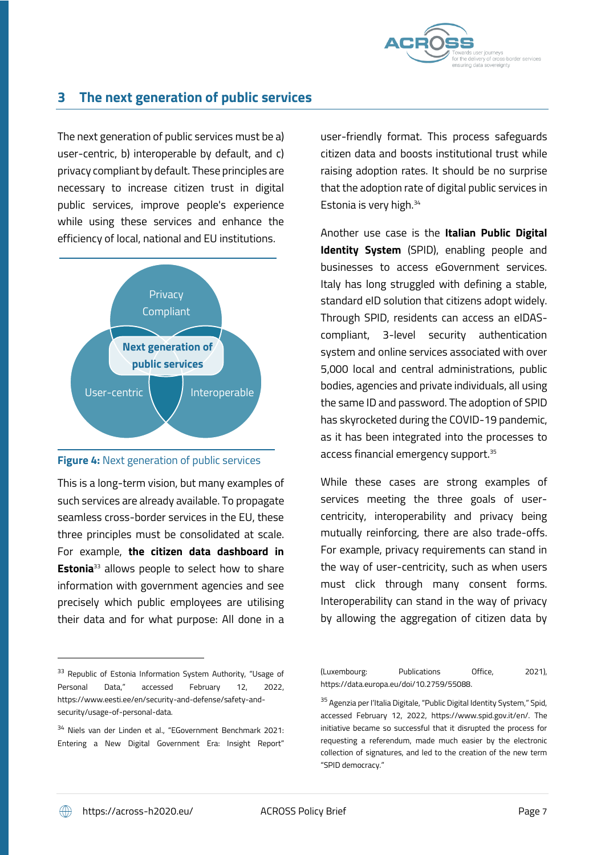

# **3 The next generation of public services**

The next generation of public services must be a) user-centric, b) interoperable by default, and c) privacy compliant by default. These principles are necessary to increase citizen trust in digital public services, improve people's experience while using these services and enhance the efficiency of local, national and EU institutions.



**Figure 4:** Next generation of public services

This is a long-term vision, but many examples of such services are already available. To propagate seamless cross-border services in the EU, these three principles must be consolidated at scale. For example, **the citizen data dashboard in Estonia**<sup>33</sup> allows people to select how to share information with government agencies and see precisely which public employees are utilising their data and for what purpose: All done in a

<sup>33</sup> Republic of Estonia Information System Authority, "Usage of Personal Data," accessed February 12, 2022, https://www.eesti.ee/en/security-and-defense/safety-andsecurity/usage-of-personal-data.

 $34$  Niels van der Linden et al., "EGovernment Benchmark 2021: Entering a New Digital Government Era: Insight Report"

user-friendly format. This process safeguards citizen data and boosts institutional trust while raising adoption rates. It should be no surprise that the adoption rate of digital public services in Estonia is very high. 34

Another use case is the **Italian Public Digital Identity System** (SPID), enabling people and businesses to access eGovernment services. Italy has long struggled with defining a stable, standard eID solution that citizens adopt widely. Through SPID, residents can access an eIDAScompliant, 3-level security authentication system and online services associated with over 5,000 local and central administrations, public bodies, agencies and private individuals, all using the same ID and password. The adoption of SPID has skyrocketed during the COVID-19 pandemic, as it has been integrated into the processes to access financial emergency support.<sup>35</sup>

While these cases are strong examples of services meeting the three goals of usercentricity, interoperability and privacy being mutually reinforcing, there are also trade-offs. For example, privacy requirements can stand in the way of user-centricity, such as when users must click through many consent forms. Interoperability can stand in the way of privacy by allowing the aggregation of citizen data by

(Luxembourg: Publications Office, 2021), https://data.europa.eu/doi/10.2759/55088.

<sup>35</sup> Agenzia per l'Italia Digitale, "Public Digital Identity System," Spid, accessed February 12, 2022, https://www.spid.gov.it/en/. The initiative became so successful that it disrupted the process for requesting a referendum, made much easier by the electronic collection of signatures, and led to the creation of the new term "SPID democracy."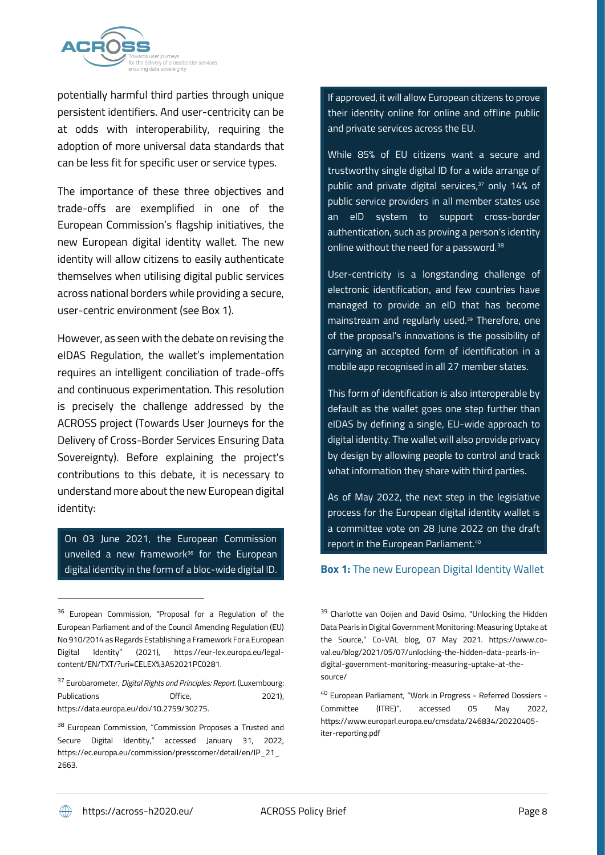

potentially harmful third parties through unique persistent identifiers. And user-centricity can be at odds with interoperability, requiring the adoption of more universal data standards that can be less fit for specific user or service types.

The importance of these three objectives and trade-offs are exemplified in one of the European Commission's flagship initiatives, the new European digital identity wallet. The new identity will allow citizens to easily authenticate themselves when utilising digital public services across national borders while providing a secure, user-centric environment (see [Box 1\)](#page-10-0).

However, as seen with the debate on revising the eIDAS Regulation, the wallet's implementation requires an intelligent conciliation of trade-offs and continuous experimentation. This resolution is precisely the challenge addressed by the ACROSS project (Towards User Journeys for the Delivery of Cross-Border Services Ensuring Data Sovereignty). Before explaining the project's contributions to this debate, it is necessary to understand more about the new European digital identity:

On 03 June 2021, the European Commission unveiled a new framework<sup>36</sup> for the European digital identity in the form of a bloc-wide digital ID.

If approved, it will allow European citizens to prove their identity online for online and offline public and private services across the EU.

While 85% of EU citizens want a secure and trustworthy single digital ID for a wide arrange of public and private digital services, <sup>37</sup> only 14% of public service providers in all member states use an eID system to support cross-border authentication, such as proving a person's identity online without the need for a password.<sup>38</sup>

User-centricity is a longstanding challenge of electronic identification, and few countries have managed to provide an eID that has become mainstream and regularly used.<sup>39</sup> Therefore, one of the proposal's innovations is the possibility of carrying an accepted form of identification in a mobile app recognised in all 27 member states.

This form of identification is also interoperable by default as the wallet goes one step further than eIDAS by defining a single, EU-wide approach to digital identity. The wallet will also provide privacy by design by allowing people to control and track what information they share with third parties.

As of May 2022, the next step in the legislative process for the European digital identity wallet is a committee vote on 28 June 2022 on the draft report in the European Parliament.<sup>40</sup>

### <span id="page-10-0"></span>**Box 1:** The new European Digital Identity Wallet

<sup>&</sup>lt;sup>36</sup> European Commission, "Proposal for a Regulation of the European Parliament and of the Council Amending Regulation (EU) No 910/2014 as Regards Establishing a Framework For a European Digital Identity" (2021), https://eur-lex.europa.eu/legalcontent/EN/TXT/?uri=CELEX%3A52021PC0281.

<sup>37</sup> Eurobarometer, *Digital Rights and Principles: Report.* (Luxembourg: Publications Office, 2021), https://data.europa.eu/doi/10.2759/30275.

<sup>&</sup>lt;sup>38</sup> European Commission, "Commission Proposes a Trusted and Secure Digital Identity," accessed January 31, 2022, https://ec.europa.eu/commission/presscorner/detail/en/IP\_21\_ 2663.

<sup>&</sup>lt;sup>39</sup> Charlotte van Ooijen and David Osimo, "Unlocking the Hidden Data Pearls in Digital Government Monitoring: Measuring Uptake at the Source," Co-VAL blog, 07 May 2021. https://www.coval.eu/blog/2021/05/07/unlocking-the-hidden-data-pearls-indigital-government-monitoring-measuring-uptake-at-thesource/

<sup>40</sup> European Parliament, "Work in Progress - Referred Dossiers - Committee (ITRE)", accessed 05 May 2022, https://www.europarl.europa.eu/cmsdata/246834/20220405 iter-reporting.pdf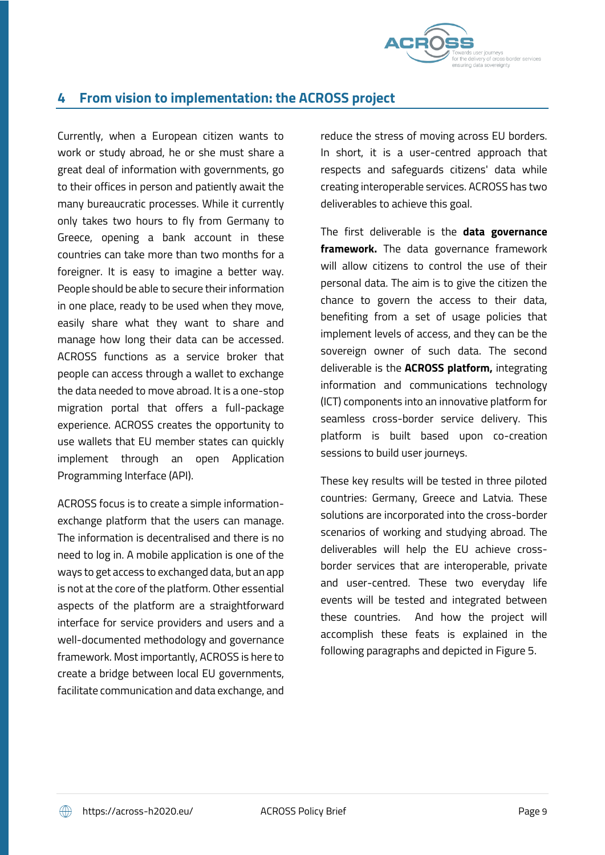

# **4 From vision to implementation: the ACROSS project**

Currently, when a European citizen wants to work or study abroad, he or she must share a great deal of information with governments, go to their offices in person and patiently await the many bureaucratic processes. While it currently only takes two hours to fly from Germany to Greece, opening a bank account in these countries can take more than two months for a foreigner. It is easy to imagine a better way. People should be able to secure their information in one place, ready to be used when they move, easily share what they want to share and manage how long their data can be accessed. ACROSS functions as a service broker that people can access through a wallet to exchange the data needed to move abroad. It is a one-stop migration portal that offers a full-package experience. ACROSS creates the opportunity to use wallets that EU member states can quickly implement through an open Application Programming Interface (API).

ACROSS focus is to create a simple informationexchange platform that the users can manage. The information is decentralised and there is no need to log in. A mobile application is one of the ways to get access to exchanged data, but an app is not at the core of the platform. Other essential aspects of the platform are a straightforward interface for service providers and users and a well-documented methodology and governance framework. Most importantly, ACROSS is here to create a bridge between local EU governments, facilitate communication and data exchange, and

reduce the stress of moving across EU borders. In short, it is a user-centred approach that respects and safeguards citizens' data while creating interoperable services. ACROSS has two deliverables to achieve this goal.

The first deliverable is the **data governance framework.** The data governance framework will allow citizens to control the use of their personal data. The aim is to give the citizen the chance to govern the access to their data, benefiting from a set of usage policies that implement levels of access, and they can be the sovereign owner of such data. The second deliverable is the **ACROSS platform,** integrating information and communications technology (ICT) components into an innovative platform for seamless cross-border service delivery. This platform is built based upon co-creation sessions to build user journeys.

These key results will be tested in three piloted countries: Germany, Greece and Latvia. These solutions are incorporated into the cross-border scenarios of working and studying abroad. The deliverables will help the EU achieve crossborder services that are interoperable, private and user-centred. These two everyday life events will be tested and integrated between these countries. And how the project will accomplish these feats is explained in the following paragraphs and depicted in [Figure 5.](#page-12-0)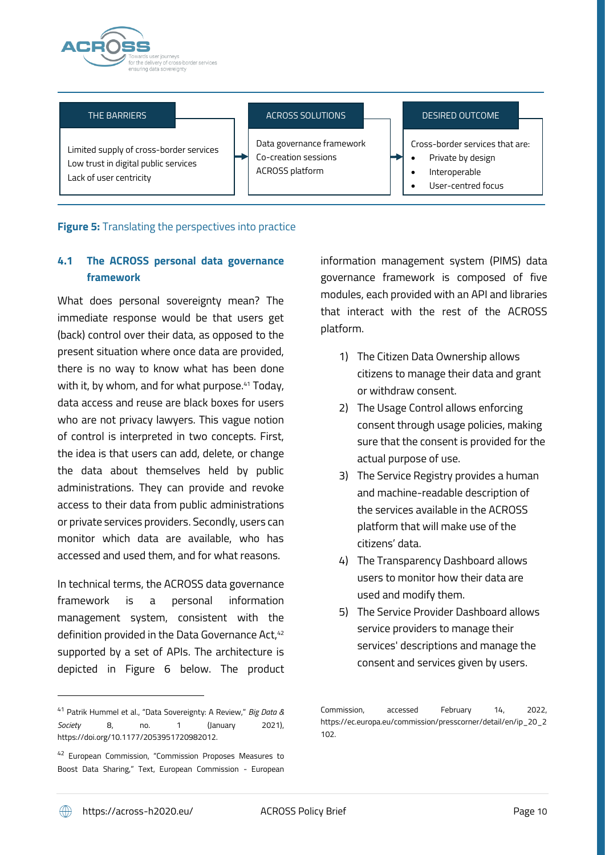

### THE BARRIERS

### ACROSS SOLUTIONS

DESIRED OUTCOME

Limited supply of cross-border services Low trust in digital public services Lack of user centricity

Data governance framework Co-creation sessions ACROSS platform

Cross-border services that are:

- Private by design
- Interoperable
- User-centred focus

## <span id="page-12-0"></span>**Figure 5:** Translating the perspectives into practice

# **4.1 The ACROSS personal data governance framework**

What does personal sovereignty mean? The immediate response would be that users get (back) control over their data, as opposed to the present situation where once data are provided, there is no way to know what has been done with it, by whom, and for what purpose.<sup>41</sup> Today, data access and reuse are black boxes for users who are not privacy lawyers. This vague notion of control is interpreted in two concepts. First, the idea is that users can add, delete, or change the data about themselves held by public administrations. They can provide and revoke access to their data from public administrations or private services providers. Secondly, users can monitor which data are available, who has accessed and used them, and for what reasons.

In technical terms, the ACROSS data governance framework is a personal information management system, consistent with the definition provided in the Data Governance Act, 42 supported by a set of APIs. The architecture is depicted in [Figure 6](#page-13-0) below. The product information management system (PIMS) data governance framework is composed of five modules, each provided with an API and libraries that interact with the rest of the ACROSS platform.

- 1) The Citizen Data Ownership allows citizens to manage their data and grant or withdraw consent.
- 2) The Usage Control allows enforcing consent through usage policies, making sure that the consent is provided for the actual purpose of use.
- 3) The Service Registry provides a human and machine-readable description of the services available in the ACROSS platform that will make use of the citizens' data.
- 4) The Transparency Dashboard allows users to monitor how their data are used and modify them.
- 5) The Service Provider Dashboard allows service providers to manage their services' descriptions and manage the consent and services given by users.

<sup>41</sup> Patrik Hummel et al., "Data Sovereignty: A Review," *Big Data & Society* 8, no. 1 (January 2021), https://doi.org/10.1177/2053951720982012.

<sup>42</sup> European Commission, "Commission Proposes Measures to Boost Data Sharing," Text, European Commission - European

Commission, accessed February 14, 2022, https://ec.europa.eu/commission/presscorner/detail/en/ip\_20\_2 102.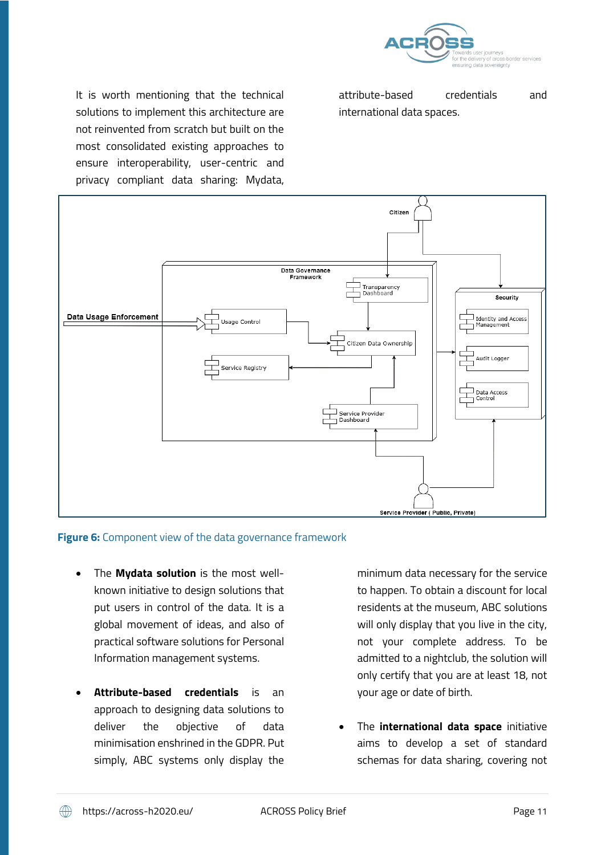

It is worth mentioning that the technical solutions to implement this architecture are not reinvented from scratch but built on the most consolidated existing approaches to ensure interoperability, user-centric and privacy compliant data sharing: Mydata,

attribute-based credentials and international data spaces.



## <span id="page-13-0"></span>**Figure 6:** Component view of the data governance framework

- The **Mydata solution** is the most wellknown initiative to design solutions that put users in control of the data. It is a global movement of ideas, and also of practical software solutions for Personal Information management systems.
- **Attribute-based credentials** is an approach to designing data solutions to deliver the objective of data minimisation enshrined in the GDPR. Put simply, ABC systems only display the

minimum data necessary for the service to happen. To obtain a discount for local residents at the museum, ABC solutions will only display that you live in the city, not your complete address. To be admitted to a nightclub, the solution will only certify that you are at least 18, not your age or date of birth.

• The **international data space** initiative aims to develop a set of standard schemas for data sharing, covering not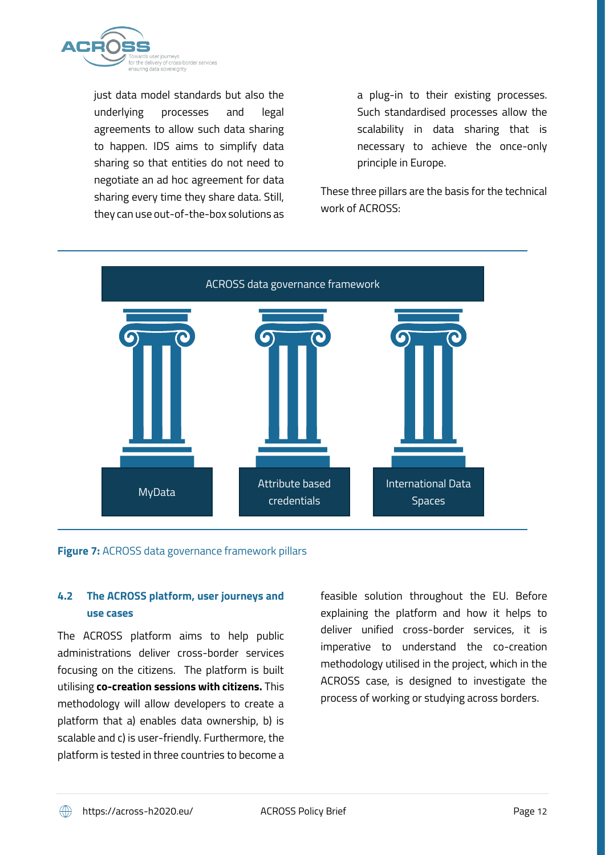

just data model standards but also the underlying processes and legal agreements to allow such data sharing to happen. IDS aims to simplify data sharing so that entities do not need to negotiate an ad hoc agreement for data sharing every time they share data. Still, they can use out-of-the-box solutions as

a plug-in to their existing processes. Such standardised processes allow the scalability in data sharing that is necessary to achieve the once-only principle in Europe.

These three pillars are the basis for the technical work of ACROSS:



## **Figure 7:** ACROSS data governance framework pillars

## **4.2 The ACROSS platform, user journeys and use cases**

The ACROSS platform aims to help public administrations deliver cross-border services focusing on the citizens. The platform is built utilising **co-creation sessions with citizens.** This methodology will allow developers to create a platform that a) enables data ownership, b) is scalable and c) is user-friendly. Furthermore, the platform is tested in three countries to become a feasible solution throughout the EU. Before explaining the platform and how it helps to deliver unified cross-border services, it is imperative to understand the co-creation methodology utilised in the project, which in the ACROSS case, is designed to investigate the process of working or studying across borders.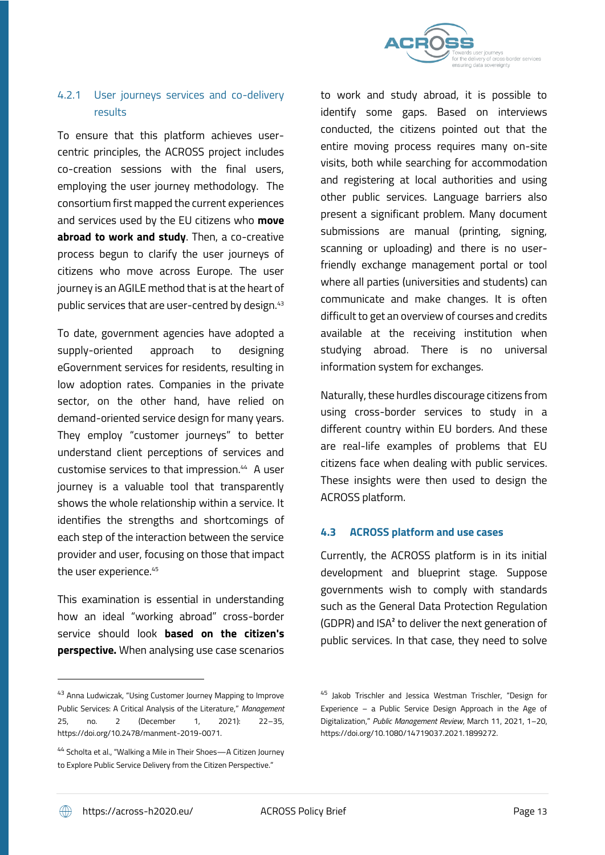

# 4.2.1 User journeys services and co-delivery results

To ensure that this platform achieves usercentric principles, the ACROSS project includes co-creation sessions with the final users, employing the user journey methodology. The consortium first mapped the current experiences and services used by the EU citizens who **move abroad to work and study**. Then, a co-creative process begun to clarify the user journeys of citizens who move across Europe. The user journey is an AGILE method that is at the heart of public services that are user-centred by design.<sup>43</sup>

To date, government agencies have adopted a supply-oriented approach to designing eGovernment services for residents, resulting in low adoption rates. Companies in the private sector, on the other hand, have relied on demand-oriented service design for many years. They employ "customer journeys" to better understand client perceptions of services and customise services to that impression.<sup>44</sup> A user journey is a valuable tool that transparently shows the whole relationship within a service. It identifies the strengths and shortcomings of each step of the interaction between the service provider and user, focusing on those that impact the user experience.<sup>45</sup>

This examination is essential in understanding how an ideal "working abroad" cross-border service should look **based on the citizen's perspective.** When analysing use case scenarios

to work and study abroad, it is possible to identify some gaps. Based on interviews conducted, the citizens pointed out that the entire moving process requires many on-site visits, both while searching for accommodation and registering at local authorities and using other public services. Language barriers also present a significant problem. Many document submissions are manual (printing, signing, scanning or uploading) and there is no userfriendly exchange management portal or tool where all parties (universities and students) can communicate and make changes. It is often difficult to get an overview of courses and credits available at the receiving institution when studying abroad. There is no universal information system for exchanges.

Naturally, these hurdles discourage citizens from using cross-border services to study in a different country within EU borders. And these are real-life examples of problems that EU citizens face when dealing with public services. These insights were then used to design the ACROSS platform.

## **4.3 ACROSS platform and use cases**

Currently, the ACROSS platform is in its initial development and blueprint stage. Suppose governments wish to comply with standards such as the General Data Protection Regulation (GDPR) and ISA² to deliver the next generation of public services. In that case, they need to solve

<sup>43</sup> Anna Ludwiczak, "Using Customer Journey Mapping to Improve Public Services: A Critical Analysis of the Literature," *Management* 25, no. 2 (December 1, 2021): 22–35, https://doi.org/10.2478/manment-2019-0071.

<sup>44</sup> Scholta et al., "Walking a Mile in Their Shoes—A Citizen Journey to Explore Public Service Delivery from the Citizen Perspective."

<sup>45</sup> Jakob Trischler and Jessica Westman Trischler, "Design for Experience – a Public Service Design Approach in the Age of Digitalization," *Public Management Review*, March 11, 2021, 1–20, https://doi.org/10.1080/14719037.2021.1899272.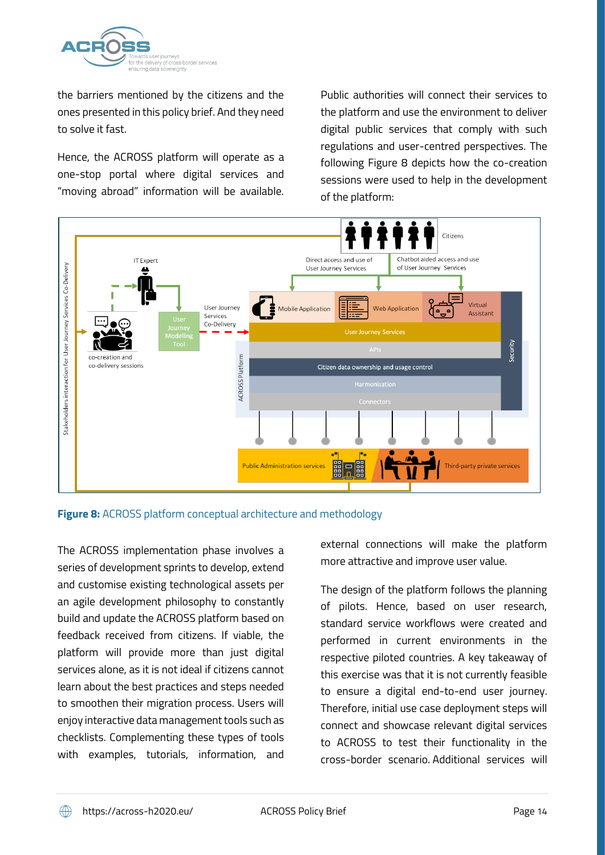

the barriers mentioned by the citizens and the ones presented in this policy brief. And they need to solve it fast.

Hence, the ACROSS platform will operate as a one-stop portal where digital services and "moving abroad" information will be available. Public authorities will connect their services to the platform and use the environment to deliver digital public services that comply with such regulations and user-centred perspectives. The following [Figure 8](#page-16-0) depicts how the co-creation sessions were used to help in the development of the platform:



<span id="page-16-0"></span>**Figure 8:** ACROSS platform conceptual architecture and methodology

The ACROSS implementation phase involves a series of development sprints to develop, extend and customise existing technological assets per an agile development philosophy to constantly build and update the ACROSS platform based on feedback received from citizens. If viable, the platform will provide more than just digital services alone, as it is not ideal if citizens cannot learn about the best practices and steps needed to smoothen their migration process. Users will enjoy interactive data management tools such as checklists. Complementing these types of tools with examples, tutorials, information, and

external connections will make the platform more attractive and improve user value.

The design of the platform follows the planning of pilots. Hence, based on user research, standard service workflows were created and performed in current environments in the respective piloted countries. A key takeaway of this exercise was that it is not currently feasible to ensure a digital end-to-end user journey. Therefore, initial use case deployment steps will connect and showcase relevant digital services to ACROSS to test their functionality in the cross-border scenario. Additional services will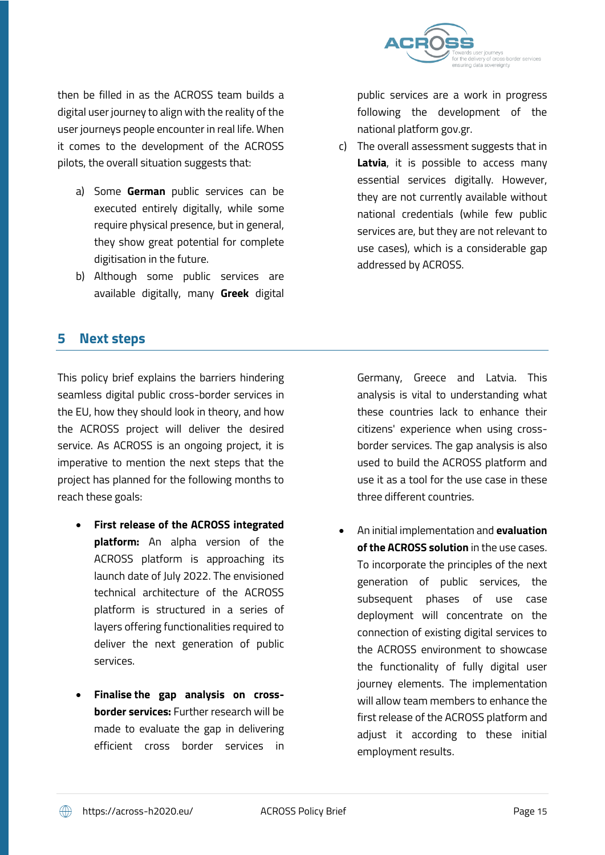

then be filled in as the ACROSS team builds a digital user journey to align with the reality of the user journeys people encounter in real life. When it comes to the development of the ACROSS pilots, the overall situation suggests that:

- a) Some **German** public services can be executed entirely digitally, while some require physical presence, but in general, they show great potential for complete digitisation in the future.
- b) Although some public services are available digitally, many **Greek** digital

public services are a work in progress following the development of the national platform gov.gr.

c) The overall assessment suggests that in **Latvia**, it is possible to access many essential services digitally. However, they are not currently available without national credentials (while few public services are, but they are not relevant to use cases), which is a considerable gap addressed by ACROSS.

# **5 Next steps**

This policy brief explains the barriers hindering seamless digital public cross-border services in the EU, how they should look in theory, and how the ACROSS project will deliver the desired service. As ACROSS is an ongoing project, it is imperative to mention the next steps that the project has planned for the following months to reach these goals:

- **First release of the ACROSS integrated platform:** An alpha version of the ACROSS platform is approaching its launch date of July 2022. The envisioned technical architecture of the ACROSS platform is structured in a series of layers offering functionalities required to deliver the next generation of public services.
- **Finalise the gap analysis on crossborder services:** Further research will be made to evaluate the gap in delivering efficient cross border services in

Germany, Greece and Latvia. This analysis is vital to understanding what these countries lack to enhance their citizens' experience when using crossborder services. The gap analysis is also used to build the ACROSS platform and use it as a tool for the use case in these three different countries.

• An initial implementation and **evaluation of the ACROSS solution** in the use cases. To incorporate the principles of the next generation of public services, the subsequent phases of use case deployment will concentrate on the connection of existing digital services to the ACROSS environment to showcase the functionality of fully digital user journey elements. The implementation will allow team members to enhance the first release of the ACROSS platform and adjust it according to these initial employment results.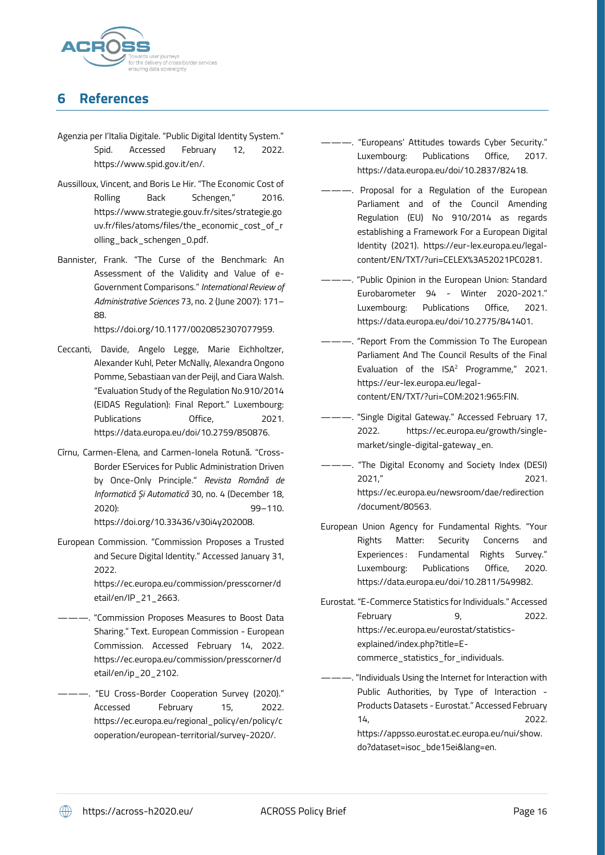

# **6 References**

- Agenzia per I'Italia Digitale. "Public Digital Identity System." Spid. Accessed February 12, 2022. https://www.spid.gov.it/en/.
- Aussilloux, Vincent, and Boris Le Hir. "The Economic Cost of Rolling Back Schengen," 2016. https://www.strategie.gouv.fr/sites/strategie.go uv.fr/files/atoms/files/the\_economic\_cost\_of\_r olling\_back\_schengen\_0.pdf.
- Bannister, Frank. "The Curse of the Benchmark: An Assessment of the Validity and Value of e-Government Comparisons." *International Review of Administrative Sciences* 73, no. 2 (June 2007): 171– 88.

https://doi.org/10.1177/0020852307077959.

- Ceccanti, Davide, Angelo Legge, Marie Eichholtzer, Alexander Kuhl, Peter McNally, Alexandra Ongono Pomme, Sebastiaan van der Peijl, and Ciara Walsh. "Evaluation Study of the Regulation No.910/2014 (EIDAS Regulation): Final Report." Luxembourg: Publications Office, 2021. https://data.europa.eu/doi/10.2759/850876.
- Cîrnu, Carmen-Elena, and Carmen-Ionela Rotună. "Cross-Border EServices for Public Administration Driven by Once-Only Principle." *Revista Română de Informatică Și Automatică* 30, no. 4 (December 18, 2020): 99–110. https://doi.org/10.33436/v30i4y202008.
- European Commission. "Commission Proposes a Trusted and Secure Digital Identity." Accessed January 31, 2022.

https://ec.europa.eu/commission/presscorner/d etail/en/IP\_21\_2663.

- ———. "Commission Proposes Measures to Boost Data Sharing." Text. European Commission - European Commission. Accessed February 14, 2022. https://ec.europa.eu/commission/presscorner/d etail/en/ip\_20\_2102.
- ———. "EU Cross-Border Cooperation Survey (2020)." Accessed February 15, 2022. https://ec.europa.eu/regional\_policy/en/policy/c ooperation/european-territorial/survey-2020/.
- ———. "Europeans' Attitudes towards Cyber Security." Luxembourg: Publications Office, 2017. https://data.europa.eu/doi/10.2837/82418.
- ———. Proposal for a Regulation of the European Parliament and of the Council Amending Regulation (EU) No 910/2014 as regards establishing a Framework For a European Digital Identity (2021). https://eur-lex.europa.eu/legalcontent/EN/TXT/?uri=CELEX%3A52021PC0281.
- -- . "Public Opinion in the European Union: Standard Eurobarometer 94 - Winter 2020-2021." Luxembourg: Publications Office, 2021. https://data.europa.eu/doi/10.2775/841401.
- "Report From the Commission To The European Parliament And The Council Results of the Final Evaluation of the ISA<sup>2</sup> Programme," 2021. https://eur-lex.europa.eu/legalcontent/EN/TXT/?uri=COM:2021:965:FIN.
- ———. "Single Digital Gateway." Accessed February 17, 2022. https://ec.europa.eu/growth/singlemarket/single-digital-gateway\_en.
- "The Digital Economy and Society Index (DESI) 2021," 2021. https://ec.europa.eu/newsroom/dae/redirection /document/80563.
- European Union Agency for Fundamental Rights. "Your Rights Matter: Security Concerns and Experiences: Fundamental Rights Survey." Luxembourg: Publications Office, 2020. https://data.europa.eu/doi/10.2811/549982.
- Eurostat. "E-Commerce Statistics for Individuals." Accessed February 9, 2022. https://ec.europa.eu/eurostat/statisticsexplained/index.php?title=Ecommerce\_statistics\_for\_individuals.

"Individuals Using the Internet for Interaction with Public Authorities, by Type of Interaction - Products Datasets - Eurostat." Accessed February 14, 2022. https://appsso.eurostat.ec.europa.eu/nui/show. do?dataset=isoc\_bde15ei&lang=en.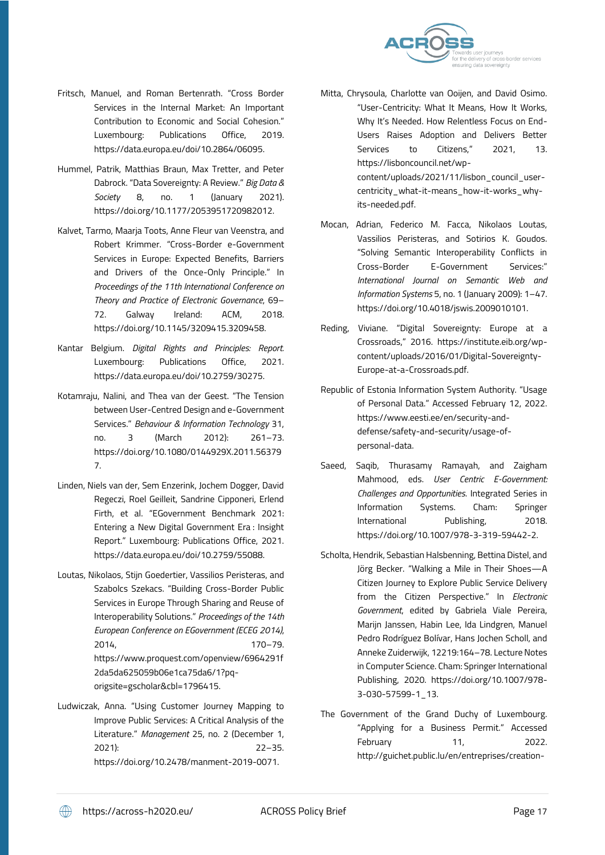

- Fritsch, Manuel, and Roman Bertenrath. "Cross Border Services in the Internal Market: An Important Contribution to Economic and Social Cohesion." Luxembourg: Publications Office, 2019. https://data.europa.eu/doi/10.2864/06095.
- Hummel, Patrik, Matthias Braun, Max Tretter, and Peter Dabrock. "Data Sovereignty: A Review." *Big Data & Society* 8, no. 1 (January 2021). https://doi.org/10.1177/2053951720982012.
- Kalvet, Tarmo, Maarja Toots, Anne Fleur van Veenstra, and Robert Krimmer. "Cross-Border e-Government Services in Europe: Expected Benefits, Barriers and Drivers of the Once-Only Principle." In *Proceedings of the 11th International Conference on Theory and Practice of Electronic Governance*, 69– 72. Galway Ireland: ACM, 2018. https://doi.org/10.1145/3209415.3209458.
- Kantar Belgium. *Digital Rights and Principles: Report.* Luxembourg: Publications Office, 2021. https://data.europa.eu/doi/10.2759/30275.
- Kotamraju, Nalini, and Thea van der Geest. "The Tension between User-Centred Design and e-Government Services." *Behaviour & Information Technology* 31, no. 3 (March 2012): 261–73. https://doi.org/10.1080/0144929X.2011.56379 7.
- Linden, Niels van der, Sem Enzerink, Jochem Dogger, David Regeczi, Roel Geilleit, Sandrine Cipponeri, Erlend Firth, et al. "EGovernment Benchmark 2021: Entering a New Digital Government Era : Insight Report." Luxembourg: Publications Office, 2021. https://data.europa.eu/doi/10.2759/55088.
- Loutas, Nikolaos, Stijn Goedertier, Vassilios Peristeras, and Szabolcs Szekacs. "Building Cross-Border Public Services in Europe Through Sharing and Reuse of Interoperability Solutions." *Proceedings of the 14th European Conference on EGovernment (ECEG 2014)*, 2014, 170–79. https://www.proquest.com/openview/6964291f 2da5da625059b06e1ca75da6/1?pqorigsite=gscholar&cbl=1796415.
- Ludwiczak, Anna. "Using Customer Journey Mapping to Improve Public Services: A Critical Analysis of the Literature." *Management* 25, no. 2 (December 1, 2021): 22–35. https://doi.org/10.2478/manment-2019-0071.
- Mitta, Chrysoula, Charlotte van Ooijen, and David Osimo. "User-Centricity: What It Means, How It Works, Why It's Needed. How Relentless Focus on End-Users Raises Adoption and Delivers Better Services to Citizens," 2021, 13. https://lisboncouncil.net/wpcontent/uploads/2021/11/lisbon\_council\_usercentricity\_what-it-means\_how-it-works\_whyits-needed.pdf.
- Mocan, Adrian, Federico M. Facca, Nikolaos Loutas, Vassilios Peristeras, and Sotirios K. Goudos. "Solving Semantic Interoperability Conflicts in Cross-Border E-Government Services:" *International Journal on Semantic Web and Information Systems* 5, no. 1 (January 2009): 1–47. https://doi.org/10.4018/jswis.2009010101.
- Reding, Viviane. "Digital Sovereignty: Europe at a Crossroads," 2016. https://institute.eib.org/wpcontent/uploads/2016/01/Digital-Sovereignty-Europe-at-a-Crossroads.pdf.
- Republic of Estonia Information System Authority. "Usage of Personal Data." Accessed February 12, 2022. https://www.eesti.ee/en/security-anddefense/safety-and-security/usage-ofpersonal-data.
- Saeed, Saqib, Thurasamy Ramayah, and Zaigham Mahmood, eds. *User Centric E-Government: Challenges and Opportunities*. Integrated Series in Information Systems. Cham: Springer International Publishing, 2018. https://doi.org/10.1007/978-3-319-59442-2.
- Scholta, Hendrik, Sebastian Halsbenning, Bettina Distel, and Jörg Becker. "Walking a Mile in Their Shoes—A Citizen Journey to Explore Public Service Delivery from the Citizen Perspective." In *Electronic Government*, edited by Gabriela Viale Pereira, Marijn Janssen, Habin Lee, Ida Lindgren, Manuel Pedro Rodríguez Bolívar, Hans Jochen Scholl, and Anneke Zuiderwijk, 12219:164–78. Lecture Notes in Computer Science. Cham: Springer International Publishing, 2020. https://doi.org/10.1007/978- 3-030-57599-1\_13.
- The Government of the Grand Duchy of Luxembourg. "Applying for a Business Permit." Accessed February 11, 2022. http://guichet.public.lu/en/entreprises/creation-